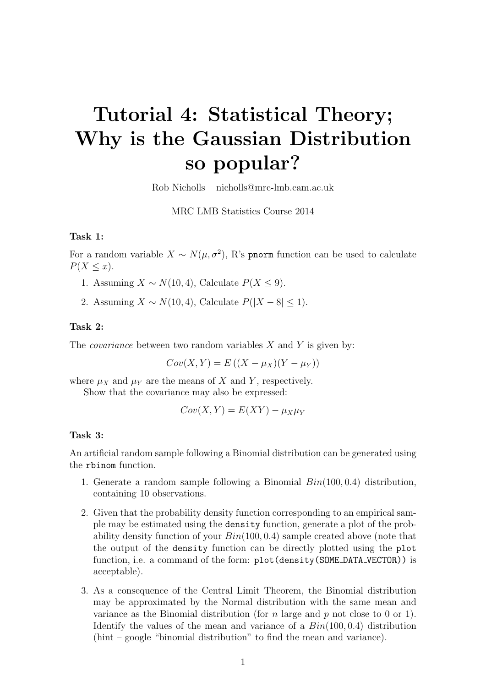# Tutorial 4: Statistical Theory; Why is the Gaussian Distribution so popular?

Rob Nicholls – nicholls@mrc-lmb.cam.ac.uk

MRC LMB Statistics Course 2014

## Task 1:

For a random variable  $X \sim N(\mu, \sigma^2)$ , R's pnorm function can be used to calculate  $P(X \leq x)$ .

- 1. Assuming  $X \sim N(10, 4)$ , Calculate  $P(X \le 9)$ .
- 2. Assuming  $X \sim N(10, 4)$ , Calculate  $P(|X 8| \le 1)$ .

### Task 2:

The *covariance* between two random variables  $X$  and  $Y$  is given by:

 $Cov(X, Y) = E ((X - \mu_X)(Y - \mu_Y))$ 

where  $\mu_X$  and  $\mu_Y$  are the means of X and Y, respectively.

Show that the covariance may also be expressed:

 $Cov(X, Y) = E(XY) - \mu_X \mu_Y$ 

### Task 3:

An artificial random sample following a Binomial distribution can be generated using the rbinom function.

- 1. Generate a random sample following a Binomial  $Bin(100, 0.4)$  distribution, containing 10 observations.
- 2. Given that the probability density function corresponding to an empirical sample may be estimated using the density function, generate a plot of the probability density function of your  $Bin(100, 0.4)$  sample created above (note that the output of the density function can be directly plotted using the plot function, i.e. a command of the form: plot (density (SOME\_DATA\_VECTOR)) is acceptable).
- 3. As a consequence of the Central Limit Theorem, the Binomial distribution may be approximated by the Normal distribution with the same mean and variance as the Binomial distribution (for n large and  $p$  not close to 0 or 1). Identify the values of the mean and variance of a  $Bin(100, 0.4)$  distribution (hint – google "binomial distribution" to find the mean and variance).